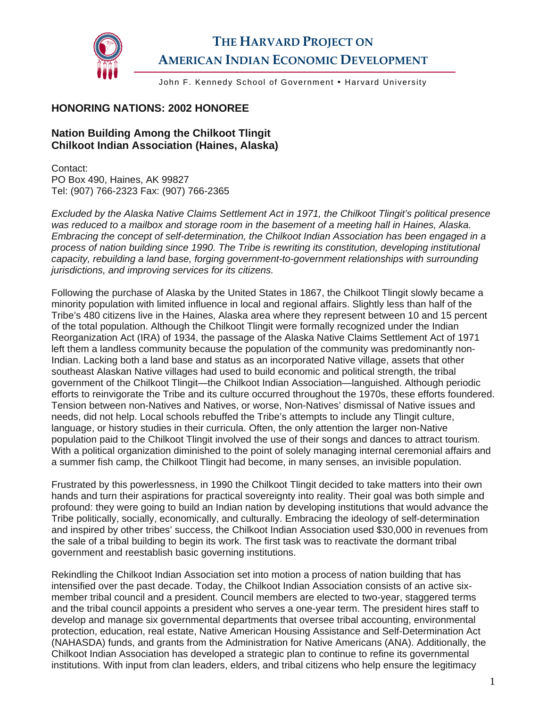

## **THE HARVARD PROJECT ON AMERICAN INDIAN ECONOMIC DEVELOPMENT**

John F. Kennedy School of Government • Harvard University

## **HONORING NATIONS: 2002 HONOREE**

## **Nation Building Among the Chilkoot Tlingit Chilkoot Indian Association (Haines, Alaska)**

Contact: PO Box 490, Haines, AK 99827 Tel: (907) 766-2323 Fax: (907) 766-2365

*Excluded by the Alaska Native Claims Settlement Act in 1971, the Chilkoot Tlingit's political presence was reduced to a mailbox and storage room in the basement of a meeting hall in Haines, Alaska. Embracing the concept of self-determination, the Chilkoot Indian Association has been engaged in a process of nation building since 1990. The Tribe is rewriting its constitution, developing institutional capacity, rebuilding a land base, forging government-to-government relationships with surrounding jurisdictions, and improving services for its citizens.* 

Following the purchase of Alaska by the United States in 1867, the Chilkoot Tlingit slowly became a minority population with limited influence in local and regional affairs. Slightly less than half of the Tribe's 480 citizens live in the Haines, Alaska area where they represent between 10 and 15 percent of the total population. Although the Chilkoot Tlingit were formally recognized under the Indian Reorganization Act (IRA) of 1934, the passage of the Alaska Native Claims Settlement Act of 1971 left them a landless community because the population of the community was predominantly non-Indian. Lacking both a land base and status as an incorporated Native village, assets that other southeast Alaskan Native villages had used to build economic and political strength, the tribal government of the Chilkoot Tlingit—the Chilkoot Indian Association—languished. Although periodic efforts to reinvigorate the Tribe and its culture occurred throughout the 1970s, these efforts foundered. Tension between non-Natives and Natives, or worse, Non-Natives' dismissal of Native issues and needs, did not help. Local schools rebuffed the Tribe's attempts to include any Tlingit culture, language, or history studies in their curricula. Often, the only attention the larger non-Native population paid to the Chilkoot Tlingit involved the use of their songs and dances to attract tourism. With a political organization diminished to the point of solely managing internal ceremonial affairs and a summer fish camp, the Chilkoot Tlingit had become, in many senses, an invisible population.

Frustrated by this powerlessness, in 1990 the Chilkoot Tlingit decided to take matters into their own hands and turn their aspirations for practical sovereignty into reality. Their goal was both simple and profound: they were going to build an Indian nation by developing institutions that would advance the Tribe politically, socially, economically, and culturally. Embracing the ideology of self-determination and inspired by other tribes' success, the Chilkoot Indian Association used \$30,000 in revenues from the sale of a tribal building to begin its work. The first task was to reactivate the dormant tribal government and reestablish basic governing institutions.

Rekindling the Chilkoot Indian Association set into motion a process of nation building that has intensified over the past decade. Today, the Chilkoot Indian Association consists of an active sixmember tribal council and a president. Council members are elected to two-year, staggered terms and the tribal council appoints a president who serves a one-year term. The president hires staff to develop and manage six governmental departments that oversee tribal accounting, environmental protection, education, real estate, Native American Housing Assistance and Self-Determination Act (NAHASDA) funds, and grants from the Administration for Native Americans (ANA). Additionally, the Chilkoot Indian Association has developed a strategic plan to continue to refine its governmental institutions. With input from clan leaders, elders, and tribal citizens who help ensure the legitimacy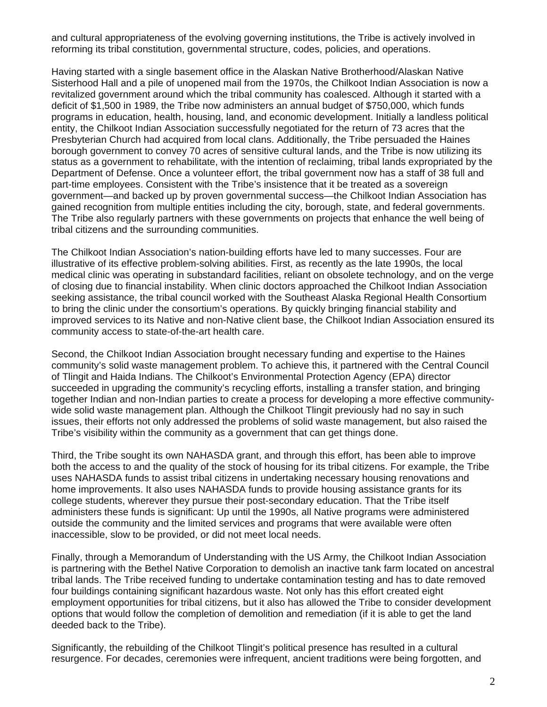and cultural appropriateness of the evolving governing institutions, the Tribe is actively involved in reforming its tribal constitution, governmental structure, codes, policies, and operations.

Having started with a single basement office in the Alaskan Native Brotherhood/Alaskan Native Sisterhood Hall and a pile of unopened mail from the 1970s, the Chilkoot Indian Association is now a revitalized government around which the tribal community has coalesced. Although it started with a deficit of \$1,500 in 1989, the Tribe now administers an annual budget of \$750,000, which funds programs in education, health, housing, land, and economic development. Initially a landless political entity, the Chilkoot Indian Association successfully negotiated for the return of 73 acres that the Presbyterian Church had acquired from local clans. Additionally, the Tribe persuaded the Haines borough government to convey 70 acres of sensitive cultural lands, and the Tribe is now utilizing its status as a government to rehabilitate, with the intention of reclaiming, tribal lands expropriated by the Department of Defense. Once a volunteer effort, the tribal government now has a staff of 38 full and part-time employees. Consistent with the Tribe's insistence that it be treated as a sovereign government—and backed up by proven governmental success—the Chilkoot Indian Association has gained recognition from multiple entities including the city, borough, state, and federal governments. The Tribe also regularly partners with these governments on projects that enhance the well being of tribal citizens and the surrounding communities.

The Chilkoot Indian Association's nation-building efforts have led to many successes. Four are illustrative of its effective problem-solving abilities. First, as recently as the late 1990s, the local medical clinic was operating in substandard facilities, reliant on obsolete technology, and on the verge of closing due to financial instability. When clinic doctors approached the Chilkoot Indian Association seeking assistance, the tribal council worked with the Southeast Alaska Regional Health Consortium to bring the clinic under the consortium's operations. By quickly bringing financial stability and improved services to its Native and non-Native client base, the Chilkoot Indian Association ensured its community access to state-of-the-art health care.

Second, the Chilkoot Indian Association brought necessary funding and expertise to the Haines community's solid waste management problem. To achieve this, it partnered with the Central Council of Tlingit and Haida Indians. The Chilkoot's Environmental Protection Agency (EPA) director succeeded in upgrading the community's recycling efforts, installing a transfer station, and bringing together Indian and non-Indian parties to create a process for developing a more effective communitywide solid waste management plan. Although the Chilkoot Tlingit previously had no say in such issues, their efforts not only addressed the problems of solid waste management, but also raised the Tribe's visibility within the community as a government that can get things done.

Third, the Tribe sought its own NAHASDA grant, and through this effort, has been able to improve both the access to and the quality of the stock of housing for its tribal citizens. For example, the Tribe uses NAHASDA funds to assist tribal citizens in undertaking necessary housing renovations and home improvements. It also uses NAHASDA funds to provide housing assistance grants for its college students, wherever they pursue their post-secondary education. That the Tribe itself administers these funds is significant: Up until the 1990s, all Native programs were administered outside the community and the limited services and programs that were available were often inaccessible, slow to be provided, or did not meet local needs.

Finally, through a Memorandum of Understanding with the US Army, the Chilkoot Indian Association is partnering with the Bethel Native Corporation to demolish an inactive tank farm located on ancestral tribal lands. The Tribe received funding to undertake contamination testing and has to date removed four buildings containing significant hazardous waste. Not only has this effort created eight employment opportunities for tribal citizens, but it also has allowed the Tribe to consider development options that would follow the completion of demolition and remediation (if it is able to get the land deeded back to the Tribe).

Significantly, the rebuilding of the Chilkoot Tlingit's political presence has resulted in a cultural resurgence. For decades, ceremonies were infrequent, ancient traditions were being forgotten, and